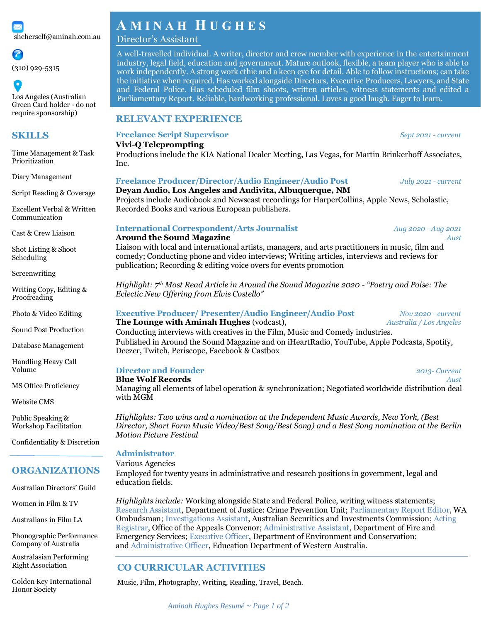

(310) 929-5315

 $\bullet$ Los Angeles (Australian Green Card holder - do not require sponsorship)

# **SKILLS**

Time Management & Task Prioritization

Diary Management

Script Reading & Coverage

Excellent Verbal & Written Communication

Cast & Crew Liaison

Shot Listing & Shoot Scheduling

**Screenwriting** 

Writing Copy, Editing & Proofreading

Photo & Video Editing

Sound Post Production

Database Management

Handling Heavy Call Volume

MS Office Proficiency

Website CMS

Public Speaking & Workshop Facilitation

Confidentiality & Discretion

# **ORGANIZATIONS**

Australian Directors' Guild

Women in Film & TV

Australians in Film LA

Phonographic Performance Company of Australia

Australasian Performing Right Association

Golden Key International Honor Society

# **A M I N A H H U G H E S**

### Director's Assistant

A well-travelled individual. A writer, director and crew member with experience in the entertainment industry, legal field, education and government. Mature outlook, flexible, a team player who is able to work independently. A strong work ethic and a keen eye for detail. Able to follow instructions; can take the initiative when required. Has worked alongside Directors, Executive Producers, Lawyers, and State and Federal Police. Has scheduled film shoots, written articles, witness statements and edited a Parliamentary Report. Reliable, hardworking professional. Loves a good laugh. Eager to learn.

### **RELEVANT EXPERIENCE**

#### **Freelance Script Supervisor** *Sept 2021 - current*

#### **Vivi-Q Teleprompting**

Productions include the KIA National Dealer Meeting, Las Vegas, for Martin Brinkerhoff Associates, Inc.

#### **Freelance Producer/Director/Audio Engineer/Audio Post** *July 2021 - current*

**Deyan Audio, Los Angeles and Audivita, Albuquerque, NM** Projects include Audiobook and Newscast recordings for HarperCollins, Apple News, Scholastic, Recorded Books and various European publishers.

#### **International Correspondent/Arts Journalist** *Aug 2020 –Aug 2021*

#### **Around the Sound Magazine** *Aust*

Liaison with local and international artists, managers, and arts practitioners in music, film and comedy; Conducting phone and video interviews; Writing articles, interviews and reviews for publication; Recording & editing voice overs for events promotion

*Highlight: 7th Most Read Article in Around the Sound Magazine 2020 - "Poetry and Poise: The Eclectic New Offering from Elvis Costello"*

#### **Executive Producer/ Presenter/Audio Engineer/Audio Post** *Nov 2020 - current*

#### **The Lounge with Aminah Hughes** (vodcast), *Australia / Los Angeles*

Conducting interviews with creatives in the Film, Music and Comedy industries. Published in Around the Sound Magazine and on iHeartRadio, YouTube, Apple Podcasts, Spotify, Deezer, Twitch, Periscope, Facebook & Castbox

## **Director and Founder** *2013- Current*

**Blue Wolf Records** *Aust*

Managing all elements of label operation & synchronization; Negotiated worldwide distribution deal with MGM

*Highlights: Two wins and a nomination at the Independent Music Awards, New York, (Best Director, Short Form Music Video/Best Song/Best Song) and a Best Song nomination at the Berlin Motion Picture Festival*

#### **Administrator**

#### Various Agencies

Employed for twenty years in administrative and research positions in government, legal and education fields.

*Highlights include:* Working alongside State and Federal Police, writing witness statements; Research Assistant, Department of Justice: Crime Prevention Unit; Parliamentary Report Editor, WA Ombudsman; Investigations Assistant, Australian Securities and Investments Commission; Acting Registrar, Office of the Appeals Convenor; Administrative Assistant, Department of Fire and Emergency Services; Executive Officer, Department of Environment and Conservation; and Administrative Officer, Education Department of Western Australia.

# **CO CURRICULAR ACTIVITIES**

Music, Film, Photography, Writing, Reading, Travel, Beach.